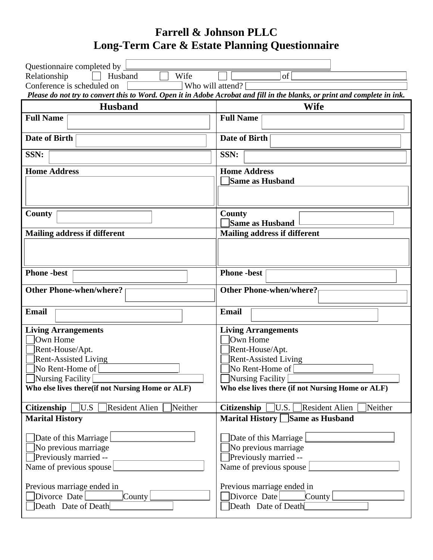# **Farrell & Johnson PLLC Long-Term Care & Estate Planning Questionnaire**

| Questionnaire completed by                                                                                                                                                                 |                                                                                                                                                                                             |
|--------------------------------------------------------------------------------------------------------------------------------------------------------------------------------------------|---------------------------------------------------------------------------------------------------------------------------------------------------------------------------------------------|
| Relationship<br>Husband<br>Wife                                                                                                                                                            | of                                                                                                                                                                                          |
| Conference is scheduled on<br>Who will attend?                                                                                                                                             |                                                                                                                                                                                             |
|                                                                                                                                                                                            | Please do not try to convert this to Word. Open it in Adobe Acrobat and fill in the blanks, or print and complete in ink.                                                                   |
| <b>Husband</b>                                                                                                                                                                             | Wife                                                                                                                                                                                        |
| <b>Full Name</b>                                                                                                                                                                           | <b>Full Name</b>                                                                                                                                                                            |
| <b>Date of Birth</b>                                                                                                                                                                       | <b>Date of Birth</b>                                                                                                                                                                        |
| SSN:                                                                                                                                                                                       | SSN:                                                                                                                                                                                        |
| <b>Home Address</b>                                                                                                                                                                        | <b>Home Address</b>                                                                                                                                                                         |
|                                                                                                                                                                                            | Same as Husband                                                                                                                                                                             |
|                                                                                                                                                                                            |                                                                                                                                                                                             |
| County                                                                                                                                                                                     | <b>County</b><br><b>Same as Husband</b>                                                                                                                                                     |
| <b>Mailing address if different</b>                                                                                                                                                        | <b>Mailing address if different</b>                                                                                                                                                         |
|                                                                                                                                                                                            |                                                                                                                                                                                             |
|                                                                                                                                                                                            |                                                                                                                                                                                             |
| <b>Phone</b> -best                                                                                                                                                                         | <b>Phone</b> -best                                                                                                                                                                          |
| <b>Other Phone-when/where?</b>                                                                                                                                                             | <b>Other Phone-when/where?</b>                                                                                                                                                              |
| Email                                                                                                                                                                                      | Email                                                                                                                                                                                       |
| <b>Living Arrangements</b><br>Own Home<br>Rent-House/Apt.<br><b>Rent-Assisted Living</b><br>No Rent-Home of<br>$\Box$ Nursing Facility<br>Who else lives there(if not Nursing Home or ALF) | <b>Living Arrangements</b><br>Own Home<br>Rent-House/Apt.<br><b>Rent-Assisted Living</b><br>No Rent-Home of<br>$\Box$ Nursing Facility<br>Who else lives there (if not Nursing Home or ALF) |
| Resident Alien<br><b>Citizenship</b><br>U.S<br>Neither                                                                                                                                     | U.S.<br><b>Citizenship</b><br>Resident Alien<br>Neither                                                                                                                                     |
| <b>Marital History</b>                                                                                                                                                                     | Marital History Same as Husband                                                                                                                                                             |
| Date of this Marriage<br>No previous marriage<br><b>Previously married --</b><br>Name of previous spouse                                                                                   | Date of this Marriage<br>$\Box$ No previous marriage<br>Previously married --<br>Name of previous spouse                                                                                    |
| Previous marriage ended in<br>Divorce Date<br>$\lfloor$ County<br>Death Date of Death                                                                                                      | Previous marriage ended in<br>Divorce Date<br>$\lfloor$ County<br>Death Date of Death                                                                                                       |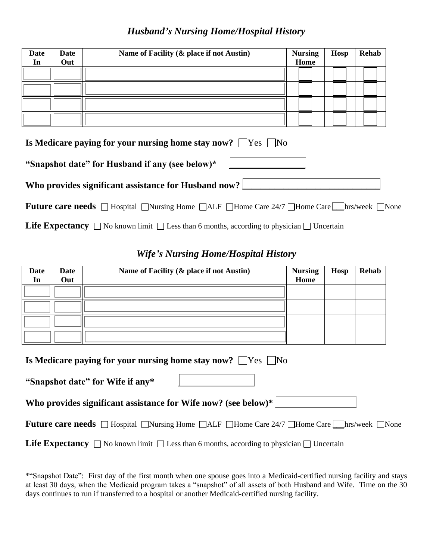#### *Husband's Nursing Home/Hospital History*

| <b>Date</b><br>In | Date<br>Out                                                             | Name of Facility (& place if not Austin) | <b>Nursing</b><br>Home | Hosp | <b>Rehab</b> |
|-------------------|-------------------------------------------------------------------------|------------------------------------------|------------------------|------|--------------|
|                   |                                                                         |                                          |                        |      |              |
|                   |                                                                         |                                          |                        |      |              |
|                   |                                                                         |                                          |                        |      |              |
|                   |                                                                         |                                          |                        |      |              |
|                   | Is Medicare paying for your nursing home stay now? $\Box$ Yes $\Box$ No |                                          |                        |      |              |

| IS INCLUDED FOR THE TOTAL POUL THUISING HOME STAY HOW. $\ \cdot\ $ $\sim$ |
|---------------------------------------------------------------------------|
| "Snapshot date" for Husband if any (see below)*                           |
| Who provides significant assistance for Husband now?                      |

| <b>Future care needs</b> □ Hospital □ Nursing Home □ ALF □ Home Care 24/7 □ Home Care □ hrs/week □ None |  |  |  |
|---------------------------------------------------------------------------------------------------------|--|--|--|
|---------------------------------------------------------------------------------------------------------|--|--|--|

**Life Expectancy**  $\Box$  No known limit  $\Box$  Less than 6 months, according to physician  $\Box$  Uncertain

#### *Wife's Nursing Home/Hospital History*

| <b>Date</b><br>In | <b>Date</b><br>Out                                                      | Name of Facility (& place if not Austin) | <b>Nursing</b><br>Home | <b>Hosp</b> | <b>Rehab</b> |
|-------------------|-------------------------------------------------------------------------|------------------------------------------|------------------------|-------------|--------------|
|                   |                                                                         |                                          |                        |             |              |
|                   |                                                                         |                                          |                        |             |              |
|                   |                                                                         |                                          |                        |             |              |
|                   |                                                                         |                                          |                        |             |              |
|                   | Is Medicare paying for your nursing home stay now? $\Box$ Yes $\Box$ No |                                          |                        |             |              |

| Who provides significant assistance for Wife now? (see below)* |
|----------------------------------------------------------------|
|----------------------------------------------------------------|

**"Snapshot date" for Wife if any\***

| <b>Future care needs</b> □ Hospital □ Nursing Home □ ALF □ Home Care 24/7 □ Home Care □ hrs/week □ None |  |  |  |  |  |  |  |  |
|---------------------------------------------------------------------------------------------------------|--|--|--|--|--|--|--|--|
|---------------------------------------------------------------------------------------------------------|--|--|--|--|--|--|--|--|

**Life Expectancy**  $\Box$  No known limit  $\Box$  Less than 6 months, according to physician  $\Box$  Uncertain

<sup>\*&</sup>quot;Snapshot Date": First day of the first month when one spouse goes into a Medicaid-certified nursing facility and stays at least 30 days, when the Medicaid program takes a "snapshot" of all assets of both Husband and Wife. Time on the 30 days continues to run if transferred to a hospital or another Medicaid-certified nursing facility.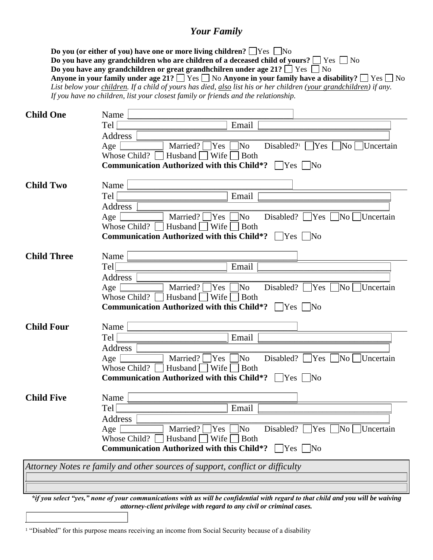#### *Your Family*

**Do you (or either of you) have one or more living children?**  $\Box$  Yes  $\Box$  No **Do you have any grandchildren who are children of a deceased child of yours?**  $\Box$  Yes  $\Box$  No **Do you have any grandchildren or great grandhchilren under age 21?**  $\Box$  Yes  $\Box$  No **Anyone in your family under age 21?**  $\Box$  Yes  $\Box$  No **Anyone in your family have a disability?**  $\Box$  Yes  $\Box$  No *List below your children. If a child of yours has died, also list his or her children (your grandchildren) if any. If you have no children, list your closest family or friends and the relationship.*

| <b>Child One</b>   | Name                                                                                                                                |
|--------------------|-------------------------------------------------------------------------------------------------------------------------------------|
|                    | Tel<br>Email                                                                                                                        |
|                    | Address                                                                                                                             |
|                    | Married?<br>$\sqrt{\text{No}}$<br>Disabled? <sup>1</sup> $\Box$ Yes $\Box$ No $\Box$ Uncertain<br>Age<br> Yes                       |
|                    | Husband $\Box$ Wife<br>$\Box$ Both<br>Whose Child? $\parallel$                                                                      |
|                    | <b>Communication Authorized with this Child*?</b><br>$\Box$ Yes $\Box$ No                                                           |
| <b>Child Two</b>   | Name                                                                                                                                |
|                    | Tel<br>Email                                                                                                                        |
|                    | Address                                                                                                                             |
|                    | Married?<br>]No<br>Disabled? $\Box$ Yes<br>Age<br> Yes <br>` No ∏<br>□Uncertain                                                     |
|                    | Whose Child?<br>Husband $\Box$ Wife<br><b>Both</b>                                                                                  |
|                    | <b>Communication Authorized with this Child*?</b> $\Box$ Yes $\Box$ No                                                              |
|                    |                                                                                                                                     |
| <b>Child Three</b> | Name                                                                                                                                |
|                    | Email<br>Tel                                                                                                                        |
|                    | Address<br>Married? $\Box$ Yes $\Box$ No<br>Disabled? $\sqrt{\text{Yes}}$ No Uncertain<br>Age                                       |
|                    | Husband Wife Both<br>Whose Child? $\ $                                                                                              |
|                    | <b>Communication Authorized with this Child*?</b> $\Box$ Yes $\Box$ No                                                              |
|                    |                                                                                                                                     |
| <b>Child Four</b>  | Name                                                                                                                                |
|                    | Email<br>Tel                                                                                                                        |
|                    | Address                                                                                                                             |
|                    | Married? $\Box$ Yes  <br>$\Box$ No<br>Disabled? $\Box$ Yes $\Box$ No $\Box$ Uncertain<br>Age                                        |
|                    | Husband $\Box$ Wife $\Box$<br>Whose Child?<br><b>Both</b><br><b>Communication Authorized with this Child*?</b> $\Box$ Yes $\Box$ No |
|                    |                                                                                                                                     |
| <b>Child Five</b>  | Name                                                                                                                                |
|                    | Tel<br>Email                                                                                                                        |
|                    | Address                                                                                                                             |
|                    | Disabled? $\Box$ Yes $\Box$ No $\Box$ Uncertain<br>Married? $\Box$ Yes $\Box$ No<br>Age                                             |
|                    | Whose Child?<br>Husband $\Box$ Wife $\Box$ Both                                                                                     |
|                    | <b>Communication Authorized with this Child*?</b><br>$\Box$ Yes $\Box$ No                                                           |
|                    | Attorney Notes re family and other sources of support, conflict or difficulty                                                       |
|                    |                                                                                                                                     |
|                    |                                                                                                                                     |
|                    |                                                                                                                                     |

*\*if you select "yes," none of your communications with us will be confidential with regard to that child and you will be waiving attorney-client privilege with regard to any civil or criminal cases.*

<sup>&</sup>lt;sup>1</sup> "Disabled" for this purpose means receiving an income from Social Security because of a disability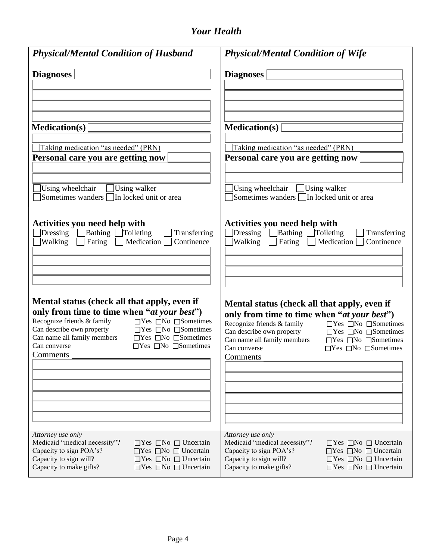## *Your Health*

| <b>Physical/Mental Condition of Husband</b>                                                                                                                                                                                                                                                                                                                                           | <b>Physical/Mental Condition of Wife</b>                                                                                                                                                                                                                                                                                                                                              |
|---------------------------------------------------------------------------------------------------------------------------------------------------------------------------------------------------------------------------------------------------------------------------------------------------------------------------------------------------------------------------------------|---------------------------------------------------------------------------------------------------------------------------------------------------------------------------------------------------------------------------------------------------------------------------------------------------------------------------------------------------------------------------------------|
| <b>Diagnoses</b>                                                                                                                                                                                                                                                                                                                                                                      | <b>Diagnoses</b>                                                                                                                                                                                                                                                                                                                                                                      |
| <b>Medication(s)</b>                                                                                                                                                                                                                                                                                                                                                                  | <b>Medication(s)</b>                                                                                                                                                                                                                                                                                                                                                                  |
| Taking medication "as needed" (PRN)<br>Personal care you are getting now<br>Using wheelchair<br>Using walker<br>In locked unit or area<br>Sometimes wanders                                                                                                                                                                                                                           | Taking medication "as needed" (PRN)<br>Personal care you are getting now<br>Using wheelchair<br>Using walker<br>Sometimes wanders<br>In locked unit or area                                                                                                                                                                                                                           |
| <b>Activities you need help with</b><br>Bathing Toileting<br>Dressing<br>Transferring<br>Medication<br>Continence<br>Walking<br>Eating                                                                                                                                                                                                                                                | Activities you need help with<br>Bathing [<br>Dressing<br>Toileting<br>Transferring<br>Medication  <br>Walking<br>Eating<br>Continence                                                                                                                                                                                                                                                |
| Mental status (check all that apply, even if<br>only from time to time when "at your best")<br>Recognize friends & family<br>$\Box$ Yes $\Box$ No $\Box$ Sometimes<br>Can describe own property<br>$\Box$ Yes $\Box$ No $\Box$ Sometimes<br>Can name all family members<br>$\Box$ Yes $\Box$ No $\Box$ Sometimes<br>Can converse<br>$\Box$ Yes $\Box$ No $\Box$ Sometimes<br>Comments | Mental status (check all that apply, even if<br>only from time to time when "at your best")<br>Recognize friends & family<br>$\Box$ Yes $\Box$ No $\Box$ Sometimes<br>Can describe own property<br>$\Box$ Yes $\Box$ No $\Box$ Sometimes<br>Can name all family members<br>$\Box$ Yes $\Box$ No $\Box$ Sometimes<br>Can converse<br>$\Box$ Yes $\Box$ No $\Box$ Sometimes<br>Comments |
| Attorney use only<br>Medicaid "medical necessity"?<br>$\Box$ Yes $\Box$ No $\Box$ Uncertain<br>Capacity to sign POA's?<br>$\Box$ Yes $\Box$ No $\Box$ Uncertain<br>Capacity to sign will?<br>$\Box$ Yes $\Box$ No $\Box$ Uncertain<br>Capacity to make gifts?<br>$\Box$ Yes $\Box$ No $\Box$ Uncertain                                                                                | Attorney use only<br>Medicaid "medical necessity"?<br>$\Box$ Yes $\Box$ No $\Box$ Uncertain<br>Capacity to sign POA's?<br>$\Box$ Yes $\Box$ No $\Box$ Uncertain<br>Capacity to sign will?<br>$\Box$ Yes $\Box$ No $\Box$ Uncertain<br>Capacity to make gifts?<br>$\Box$ Yes $\Box$ No $\Box$ Uncertain                                                                                |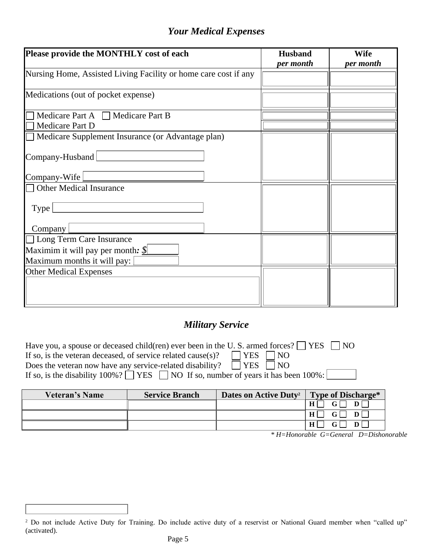### *Your Medical Expenses*

| Please provide the MONTHLY cost of each                         | <b>Husband</b><br>per month | <b>Wife</b><br>per month |
|-----------------------------------------------------------------|-----------------------------|--------------------------|
| Nursing Home, Assisted Living Facility or home care cost if any |                             |                          |
| Medications (out of pocket expense)                             |                             |                          |
| Medicare Part A $\Box$ Medicare Part B<br>Medicare Part D       |                             |                          |
| Medicare Supplement Insurance (or Advantage plan)               |                             |                          |
| Company-Husband                                                 |                             |                          |
| Company-Wife                                                    |                             |                          |
| <b>Other Medical Insurance</b>                                  |                             |                          |
| Type                                                            |                             |                          |
| Company                                                         |                             |                          |
| □ Long Term Care Insurance                                      |                             |                          |
| Maximim it will pay per month: $\mathcal{S}$                    |                             |                          |
| Maximum months it will pay:                                     |                             |                          |
| <b>Other Medical Expenses</b>                                   |                             |                          |

## *Military Service*

| Have you, a spouse or deceased child(ren) ever been in the U.S. armed forces? $\Box$ YES $\Box$ NO |
|----------------------------------------------------------------------------------------------------|
| $\Box$ YES $\Box$ NO<br>If so, is the veteran deceased, of service related cause(s)?               |
| Does the veteran now have any service-related disability? $\Box$ YES $\Box$ NO                     |
| If so, is the disability 100%? $\Box$ YES $\Box$ NO If so, number of years it has been 100%:       |

| <b>Veteran's Name</b> | <b>Service Branch</b> | Dates on Active Duty <sup>2</sup> | Type of Discharge* |
|-----------------------|-----------------------|-----------------------------------|--------------------|
|                       |                       |                                   | н                  |
|                       |                       |                                   | Н                  |
|                       |                       |                                   | H<br>D             |

*\* H=Honorable G=General D=Dishonorable*

<sup>&</sup>lt;sup>2</sup> Do not include Active Duty for Training. Do include active duty of a reservist or National Guard member when "called up" (activated).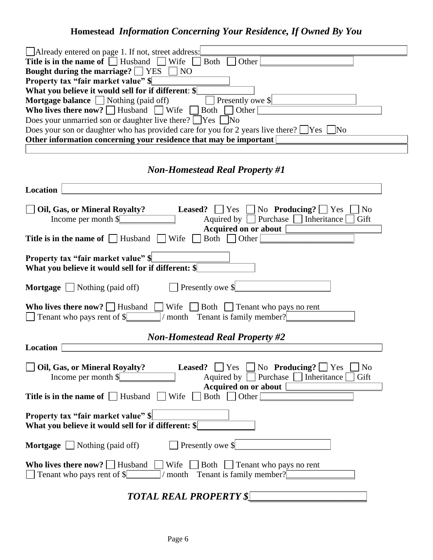# **Homestead** *Information Concerning Your Residence, If Owned By You*

| $\Box$ Already entered on page 1. If not, street address:                                                                   |
|-----------------------------------------------------------------------------------------------------------------------------|
| Title is in the name of $\Box$ Husband $\Box$<br>Both<br>Other<br>$\blacksquare$ Wife                                       |
| Bought during the marriage? $\Box$ YES<br>$\Box$ NO                                                                         |
| Property tax "fair market value" \$                                                                                         |
| What you believe it would sell for if different: \$                                                                         |
| <b>Mortgage balance</b> $\Box$ Nothing (paid off)<br>Presently owe \$                                                       |
| <b>Who lives there now?</b> $\Box$ Husband $\Box$ Wife<br>$\Box$ Other<br>$\vert$ Both                                      |
| Does your unmarried son or daughter live there? $\Box$ Yes<br>]No                                                           |
|                                                                                                                             |
| Does your son or daughter who has provided care for you for 2 years live there? $\Box$ Yes [<br>$\overline{\rm No}$         |
| Other information concerning your residence that may be important                                                           |
|                                                                                                                             |
| <b>Non-Homestead Real Property #1</b>                                                                                       |
| <b>Location</b>                                                                                                             |
|                                                                                                                             |
| $\Box$ No <b>Producing?</b> $\Box$ Yes<br>Oil, Gas, or Mineral Royalty?<br>Leased?<br>$\vert \ \vert$ Yes<br>N <sub>0</sub> |
| Purchase<br>Income per month \$<br>Aquired by $\vert$<br>Inheritance<br>Gift                                                |
| <b>Acquired on or about</b>                                                                                                 |
| Wife<br>Both  <br>Other<br><b>Title is in the name of     Husband</b>                                                       |
| Property tax "fair market value" \$                                                                                         |
| What you believe it would sell for if different: \$                                                                         |
|                                                                                                                             |
| Presently owe \$<br><b>Mortgage</b> $\Box$ Nothing (paid off)                                                               |
| Who lives there now?   Husband<br>Wife<br>$\Box$ Both $\Box$ Tenant who pays no rent                                        |
| Tenant who pays rent of \$<br>month Tenant is family member?                                                                |
|                                                                                                                             |
| <b>Non-Homestead Real Property #2</b>                                                                                       |
| Location                                                                                                                    |
|                                                                                                                             |
| Oil, Gas, or Mineral Royalty?<br>No <b>Producing?</b> $\sqrt{Y}$ Yes<br>Leased?<br>$\vert \ \vert$ Yes<br>N <sub>o</sub>    |
| $\Box$ Inheritance<br>Income per month \$<br>Aquired by<br>Purchase<br>Gift                                                 |
| <b>Acquired on or about</b>                                                                                                 |
| Wife<br>Both $\Box$ Other<br>Title is in the name of $\Box$ Husband                                                         |
| <b>Property tax "fair market value" \$</b><br>What you believe it would sell for if different: \$                           |
|                                                                                                                             |
| Presently owe \$<br>Nothing (paid off)<br>Mortgage                                                                          |
| Who lives there now? $\Box$ Husband<br>Wife<br>Both<br>$\Box$ Tenant who pays no rent                                       |
| Tenant is family member?<br>Tenant who pays rent of \$<br>month                                                             |
|                                                                                                                             |
|                                                                                                                             |

*TOTAL REAL PROPERTY \$\_\_\_\_\_\_\_\_\_\_\_\_\_\_\_\_\_\_\_\_\_\_\_\_*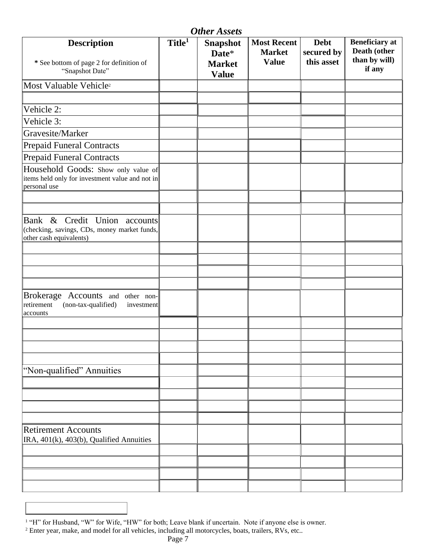| <b>Other Assets</b>                                                                                        |                    |                                                           |                                                     |                                         |                                                                  |
|------------------------------------------------------------------------------------------------------------|--------------------|-----------------------------------------------------------|-----------------------------------------------------|-----------------------------------------|------------------------------------------------------------------|
| <b>Description</b><br>* See bottom of page 2 for definition of<br>"Snapshot Date"                          | Title <sup>1</sup> | <b>Snapshot</b><br>Date*<br><b>Market</b><br><b>Value</b> | <b>Most Recent</b><br><b>Market</b><br><b>Value</b> | <b>Debt</b><br>secured by<br>this asset | <b>Beneficiary</b> at<br>Death (other<br>than by will)<br>if any |
| Most Valuable Vehicle <sup>2</sup>                                                                         |                    |                                                           |                                                     |                                         |                                                                  |
|                                                                                                            |                    |                                                           |                                                     |                                         |                                                                  |
| Vehicle 2:                                                                                                 |                    |                                                           |                                                     |                                         |                                                                  |
| Vehicle 3:                                                                                                 |                    |                                                           |                                                     |                                         |                                                                  |
| Gravesite/Marker                                                                                           |                    |                                                           |                                                     |                                         |                                                                  |
| <b>Prepaid Funeral Contracts</b>                                                                           |                    |                                                           |                                                     |                                         |                                                                  |
| <b>Prepaid Funeral Contracts</b>                                                                           |                    |                                                           |                                                     |                                         |                                                                  |
| Household Goods: Show only value of<br>items held only for investment value and not in<br>personal use     |                    |                                                           |                                                     |                                         |                                                                  |
|                                                                                                            |                    |                                                           |                                                     |                                         |                                                                  |
| Bank & Credit Union accounts<br>(checking, savings, CDs, money market funds,<br>other cash equivalents)    |                    |                                                           |                                                     |                                         |                                                                  |
|                                                                                                            |                    |                                                           |                                                     |                                         |                                                                  |
|                                                                                                            |                    |                                                           |                                                     |                                         |                                                                  |
|                                                                                                            |                    |                                                           |                                                     |                                         |                                                                  |
|                                                                                                            |                    |                                                           |                                                     |                                         |                                                                  |
| <b>Brokerage</b><br>Accounts and other non-<br>(non-tax-qualified)<br>retirement<br>investment<br>accounts |                    |                                                           |                                                     |                                         |                                                                  |
|                                                                                                            |                    |                                                           |                                                     |                                         |                                                                  |
|                                                                                                            |                    |                                                           |                                                     |                                         |                                                                  |
|                                                                                                            |                    |                                                           |                                                     |                                         |                                                                  |
|                                                                                                            |                    |                                                           |                                                     |                                         |                                                                  |
| "Non-qualified" Annuities                                                                                  |                    |                                                           |                                                     |                                         |                                                                  |
|                                                                                                            |                    |                                                           |                                                     |                                         |                                                                  |
|                                                                                                            |                    |                                                           |                                                     |                                         |                                                                  |
|                                                                                                            |                    |                                                           |                                                     |                                         |                                                                  |
|                                                                                                            |                    |                                                           |                                                     |                                         |                                                                  |
| <b>Retirement Accounts</b><br>IRA, 401(k), 403(b), Qualified Annuities                                     |                    |                                                           |                                                     |                                         |                                                                  |
|                                                                                                            |                    |                                                           |                                                     |                                         |                                                                  |
|                                                                                                            |                    |                                                           |                                                     |                                         |                                                                  |
|                                                                                                            |                    |                                                           |                                                     |                                         |                                                                  |
|                                                                                                            |                    |                                                           |                                                     |                                         |                                                                  |

<sup>1</sup> "H" for Husband, "W" for Wife, "HW" for both; Leave blank if uncertain. Note if anyone else is owner.

<sup>&</sup>lt;sup>2</sup> Enter year, make, and model for all vehicles, including all motorcycles, boats, trailers, RVs, etc..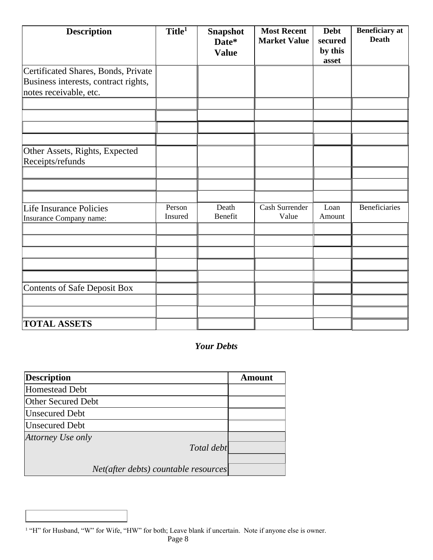| <b>Description</b>                                                                                    | Title <sup>1</sup> | <b>Snapshot</b><br>Date*<br><b>Value</b> | <b>Most Recent</b><br><b>Market Value</b> | <b>Debt</b><br>secured<br>by this<br>asset | <b>Beneficiary</b> at<br><b>Death</b> |
|-------------------------------------------------------------------------------------------------------|--------------------|------------------------------------------|-------------------------------------------|--------------------------------------------|---------------------------------------|
| Certificated Shares, Bonds, Private<br>Business interests, contract rights,<br>notes receivable, etc. |                    |                                          |                                           |                                            |                                       |
|                                                                                                       |                    |                                          |                                           |                                            |                                       |
|                                                                                                       |                    |                                          |                                           |                                            |                                       |
| Other Assets, Rights, Expected<br>Receipts/refunds                                                    |                    |                                          |                                           |                                            |                                       |
|                                                                                                       |                    |                                          |                                           |                                            |                                       |
|                                                                                                       |                    |                                          |                                           |                                            |                                       |
| Life Insurance Policies<br>Insurance Company name:                                                    | Person<br>Insured  | Death<br>Benefit                         | Cash Surrender<br>Value                   | Loan<br>Amount                             | <b>Beneficiaries</b>                  |
|                                                                                                       |                    |                                          |                                           |                                            |                                       |
|                                                                                                       |                    |                                          |                                           |                                            |                                       |
|                                                                                                       |                    |                                          |                                           |                                            |                                       |
|                                                                                                       |                    |                                          |                                           |                                            |                                       |
|                                                                                                       |                    |                                          |                                           |                                            |                                       |
| Contents of Safe Deposit Box                                                                          |                    |                                          |                                           |                                            |                                       |
|                                                                                                       |                    |                                          |                                           |                                            |                                       |
| <b>TOTAL ASSETS</b>                                                                                   |                    |                                          |                                           |                                            |                                       |

#### *Your Debts*

| <b>Amount</b>                                      |
|----------------------------------------------------|
|                                                    |
|                                                    |
|                                                    |
|                                                    |
|                                                    |
|                                                    |
| Total debt<br>Net(after debts) countable resources |

<sup>1</sup> "H" for Husband, "W" for Wife, "HW" for both; Leave blank if uncertain. Note if anyone else is owner.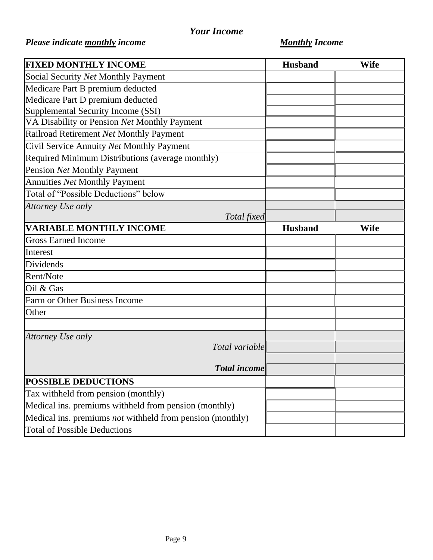## *Your Income*

# *Please indicate monthly income Monthly Income*

| <b>FIXED MONTHLY INCOME</b>                               | <b>Husband</b> | <b>Wife</b> |
|-----------------------------------------------------------|----------------|-------------|
| Social Security Net Monthly Payment                       |                |             |
| Medicare Part B premium deducted                          |                |             |
| Medicare Part D premium deducted                          |                |             |
| Supplemental Security Income (SSI)                        |                |             |
| VA Disability or Pension Net Monthly Payment              |                |             |
| Railroad Retirement Net Monthly Payment                   |                |             |
| Civil Service Annuity Net Monthly Payment                 |                |             |
| Required Minimum Distributions (average monthly)          |                |             |
| Pension Net Monthly Payment                               |                |             |
| Annuities Net Monthly Payment                             |                |             |
| Total of "Possible Deductions" below                      |                |             |
| Attorney Use only                                         |                |             |
| Total fixed                                               |                |             |
| <b>VARIABLE MONTHLY INCOME</b>                            | <b>Husband</b> | <b>Wife</b> |
| <b>Gross Earned Income</b>                                |                |             |
| Interest                                                  |                |             |
| Dividends                                                 |                |             |
| Rent/Note                                                 |                |             |
| Oil & Gas                                                 |                |             |
| Farm or Other Business Income                             |                |             |
| Other                                                     |                |             |
|                                                           |                |             |
| Attorney Use only                                         |                |             |
| Total variable                                            |                |             |
|                                                           |                |             |
| <b>Total income</b>                                       |                |             |
| <b>POSSIBLE DEDUCTIONS</b>                                |                |             |
| Tax withheld from pension (monthly)                       |                |             |
| Medical ins. premiums withheld from pension (monthly)     |                |             |
| Medical ins. premiums not withheld from pension (monthly) |                |             |
| <b>Total of Possible Deductions</b>                       |                |             |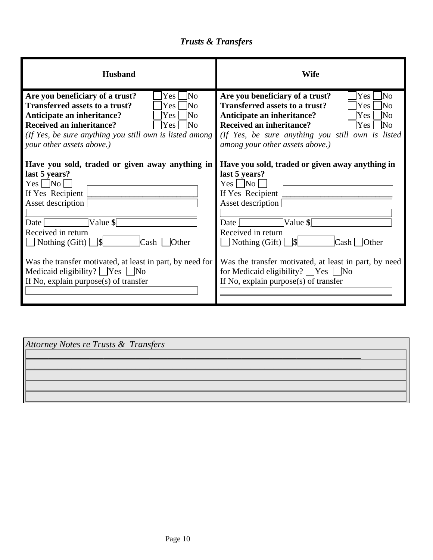# *Trusts & Transfers*

| <b>Husband</b>                                                                                                                                                                                                                                                                                                                                                                                       | <b>Wife</b>                                                                                                                                                                                                                                                                                                                                                   |
|------------------------------------------------------------------------------------------------------------------------------------------------------------------------------------------------------------------------------------------------------------------------------------------------------------------------------------------------------------------------------------------------------|---------------------------------------------------------------------------------------------------------------------------------------------------------------------------------------------------------------------------------------------------------------------------------------------------------------------------------------------------------------|
| Are you beneficiary of a trust?<br>$\overline{\rm No}$<br> Yes  <br><b>Transferred assets to a trust?</b><br>lΝo<br>Yes:<br>Anticipate an inheritance?<br>lNo<br>Yes<br><b>Received an inheritance?</b><br>$Yes \mid$<br>- INo<br>(If Yes, be sure anything you still own is listed among<br>your other assets above.)                                                                               | Are you beneficiary of a trust?<br>Yes<br>No<br><b>Transferred assets to a trust?</b><br>lΝo<br><b>Yes</b><br>Anticipate an inheritance?<br>Yes<br>INo.<br><b>Received an inheritance?</b><br> Yes <br>$\mathbb{N}_0$<br>(If Yes, be sure anything you still own is listed<br>among your other assets above.)                                                 |
| Have you sold, traded or given away anything in<br>last 5 years?<br>Yes   No<br>If Yes Recipient<br>Asset description<br>$\forall$ alue \$ $\Box$<br>Date<br>Received in return<br>$\Box$ Nothing (Gift) $\Box$ \\\<br>Cash [<br><b>Other</b><br>Was the transfer motivated, at least in part, by need for<br>Medicaid eligibility? $\Box$ Yes $\Box$ No<br>If No, explain purpose $(s)$ of transfer | Have you sold, traded or given away anything in<br>last 5 years?<br>$Yes \Box No$<br>If Yes Recipient<br>Asset description<br>$\vert$ Value \$ $\vert$<br>Date<br>Received in return<br>$Cash \Box$ Other<br>Was the transfer motivated, at least in part, by need<br>for Medicaid eligibility? $\Box$ Yes $\Box$ No<br>If No, explain purpose(s) of transfer |

| Attorney Notes re Trusts & Transfers |  |
|--------------------------------------|--|
|                                      |  |
|                                      |  |
|                                      |  |
|                                      |  |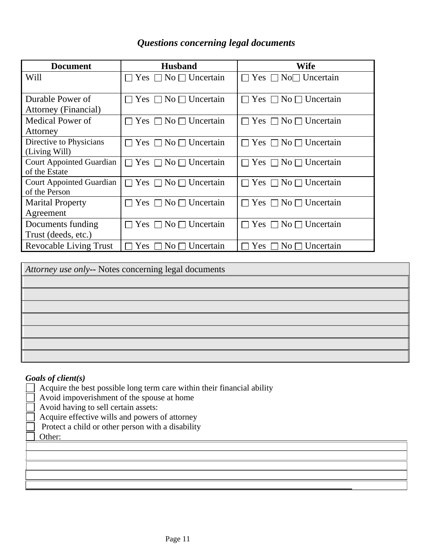### *Questions concerning legal documents*

| <b>Document</b>                 | <b>Husband</b>                            | Wife                                  |
|---------------------------------|-------------------------------------------|---------------------------------------|
| Will                            | Yes $\Box$ No $\Box$ Uncertain<br>LΙ      | $\Box$ Yes $\Box$ No $\Box$ Uncertain |
|                                 |                                           |                                       |
| Durable Power of                | Yes $\Box$ No $\Box$ Uncertain<br>H       | $\Box$ Yes $\Box$ No $\Box$ Uncertain |
| <b>Attorney (Financial)</b>     |                                           |                                       |
| Medical Power of                | Yes $\Box$ No $\Box$ Uncertain            | Yes $\Box$ No $\Box$ Uncertain        |
| Attorney                        |                                           |                                       |
| Directive to Physicians         | $\Box$ Yes $\Box$ No $\Box$ Uncertain     | Yes $\Box$ No $\Box$ Uncertain        |
| (Living Will)                   |                                           |                                       |
| <b>Court Appointed Guardian</b> | $\Box$ Yes $\Box$ No $\Box$ Uncertain     | Yes $\Box$ No $\Box$ Uncertain        |
| of the Estate                   |                                           |                                       |
| <b>Court Appointed Guardian</b> | $\Box$ Yes $\Box$ No $\Box$ Uncertain     | $\Box$ Yes $\Box$ No $\Box$ Uncertain |
| of the Person                   |                                           |                                       |
| <b>Marital Property</b>         | $\Box$ Yes $\Box$ No $\Box$ Uncertain     | $\Box$ Yes $\Box$ No $\Box$ Uncertain |
| Agreement                       |                                           |                                       |
| Documents funding               | Yes $\Box$ No $\Box$ Uncertain<br>$\perp$ | Yes $\Box$ No $\Box$ Uncertain        |
| Trust (deeds, etc.)             |                                           |                                       |
| <b>Revocable Living Trust</b>   | Yes $\square$<br>No $\Box$ Uncertain      | $No \square$ Uncertain<br>Yes         |

| Attorney use only-- Notes concerning legal documents |
|------------------------------------------------------|
|                                                      |
|                                                      |
|                                                      |
|                                                      |
|                                                      |
|                                                      |
|                                                      |

#### *Goals of client(s)*

- $\Box$  Acquire the best possible long term care within their financial ability
- Avoid impoverishment of the spouse at home
- Avoid having to sell certain assets:
- Acquire effective wills and powers of attorney
- Protect a child or other person with a disability
- Other:

\_\_\_\_\_\_\_\_\_\_\_\_\_\_\_\_\_\_\_\_\_\_\_\_\_\_\_\_\_\_\_\_\_\_\_\_\_\_\_\_\_\_\_\_\_\_\_\_\_\_\_\_\_\_\_\_\_\_\_\_\_\_\_\_\_\_\_\_\_\_\_\_\_\_\_\_\_